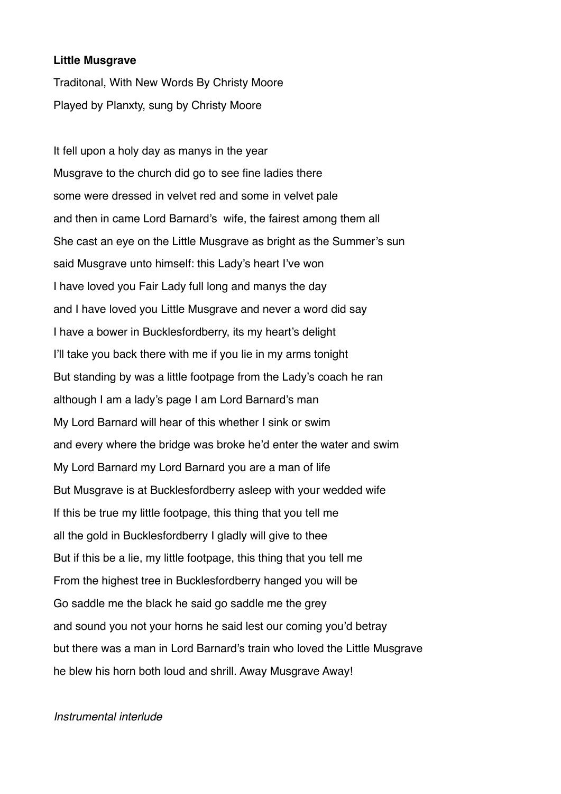#### **Little Musgrave**

Traditonal, With New Words By Christy Moore Played by Planxty, sung by Christy Moore

It fell upon a holy day as manys in the year Musgrave to the church did go to see fine ladies there some were dressed in velvet red and some in velvet pale and then in came Lord Barnard's wife, the fairest among them all She cast an eye on the Little Musgrave as bright as the Summer's sun said Musgrave unto himself: this Lady's heart I've won I have loved you Fair Lady full long and manys the day and I have loved you Little Musgrave and never a word did say I have a bower in Bucklesfordberry, its my heart's delight I'll take you back there with me if you lie in my arms tonight But standing by was a little footpage from the Lady's coach he ran although I am a lady's page I am Lord Barnard's man My Lord Barnard will hear of this whether I sink or swim and every where the bridge was broke he'd enter the water and swim My Lord Barnard my Lord Barnard you are a man of life But Musgrave is at Bucklesfordberry asleep with your wedded wife If this be true my little footpage, this thing that you tell me all the gold in Bucklesfordberry I gladly will give to thee But if this be a lie, my little footpage, this thing that you tell me From the highest tree in Bucklesfordberry hanged you will be Go saddle me the black he said go saddle me the grey and sound you not your horns he said lest our coming you'd betray but there was a man in Lord Barnard's train who loved the Little Musgrave he blew his horn both loud and shrill. Away Musgrave Away!

### *Instrumental interlude*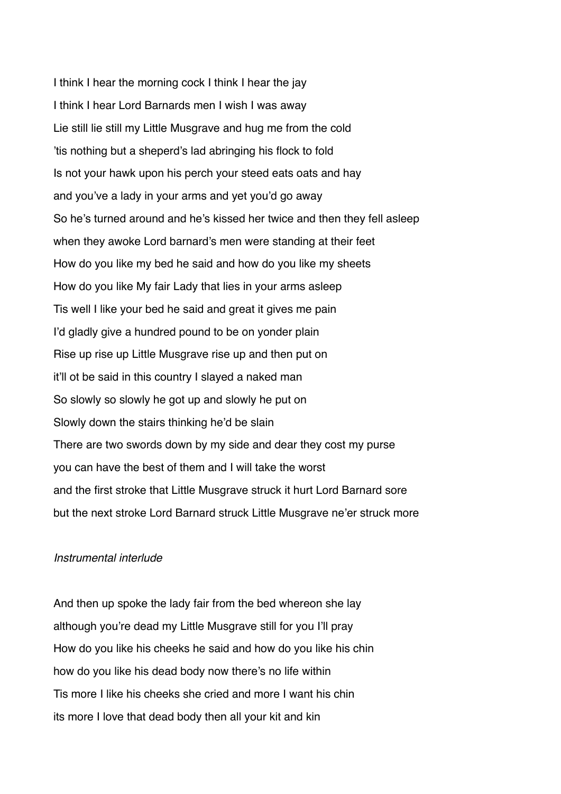I think I hear the morning cock I think I hear the jay I think I hear Lord Barnards men I wish I was away Lie still lie still my Little Musgrave and hug me from the cold 'tis nothing but a sheperd's lad abringing his flock to fold Is not your hawk upon his perch your steed eats oats and hay and you've a lady in your arms and yet you'd go away So he's turned around and he's kissed her twice and then they fell asleep when they awoke Lord barnard's men were standing at their feet How do you like my bed he said and how do you like my sheets How do you like My fair Lady that lies in your arms asleep Tis well I like your bed he said and great it gives me pain I'd gladly give a hundred pound to be on yonder plain Rise up rise up Little Musgrave rise up and then put on it'll ot be said in this country I slayed a naked man So slowly so slowly he got up and slowly he put on Slowly down the stairs thinking he'd be slain There are two swords down by my side and dear they cost my purse you can have the best of them and I will take the worst and the first stroke that Little Musgrave struck it hurt Lord Barnard sore but the next stroke Lord Barnard struck Little Musgrave ne'er struck more

### *Instrumental interlude*

And then up spoke the lady fair from the bed whereon she lay although you're dead my Little Musgrave still for you I'll pray How do you like his cheeks he said and how do you like his chin how do you like his dead body now there's no life within Tis more I like his cheeks she cried and more I want his chin its more I love that dead body then all your kit and kin